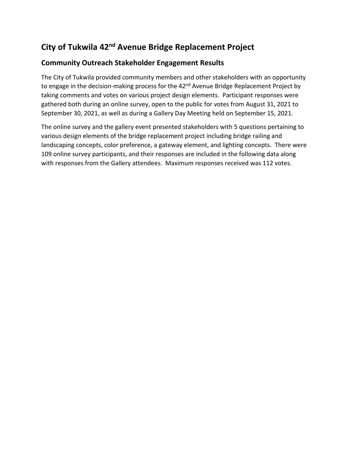## **City of Tukwila 42nd Avenue Bridge Replacement Project**

#### **Community Outreach Stakeholder Engagement Results**

The City of Tukwila provided community members and other stakeholders with an opportunity to engage in the decision-making process for the 42<sup>nd</sup> Avenue Bridge Replacement Project by taking comments and votes on various project design elements. Participant responses were gathered both during an online survey, open to the public for votes from August 31, 2021 to September 30, 2021, as well as during a Gallery Day Meeting held on September 15, 2021.

The online survey and the gallery event presented stakeholders with 5 questions pertaining to various design elements of the bridge replacement project including bridge railing and landscaping concepts, color preference, a gateway element, and lighting concepts. There were 109 online survey participants, and their responses are included in the following data along with responses from the Gallery attendees. Maximum responses received was 112 votes.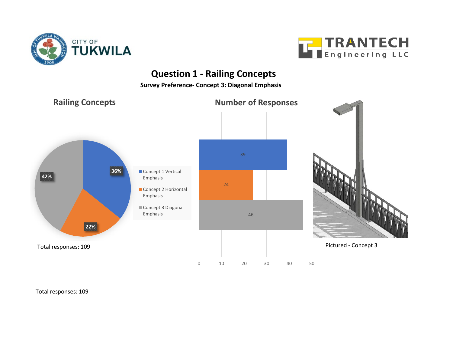



## **Question 1 - Railing Concepts**

**Survey Preference- Concept 3: Diagonal Emphasis**

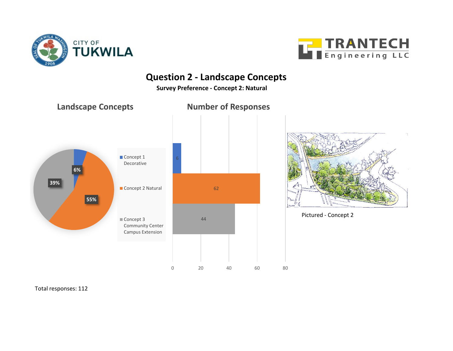



## **Question 2 - Landscape Concepts**

**Survey Preference - Concept 2: Natural**

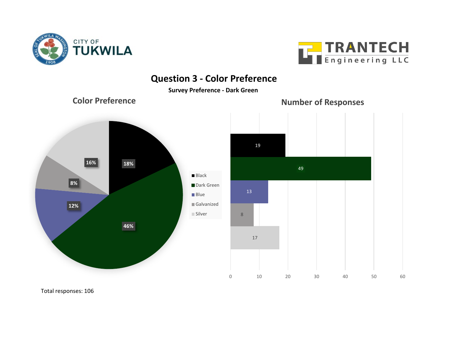



# **Question 3 - Color Preference**

**Survey Preference - Dark Green**

#### **Color Preference**

**Number of Responses**

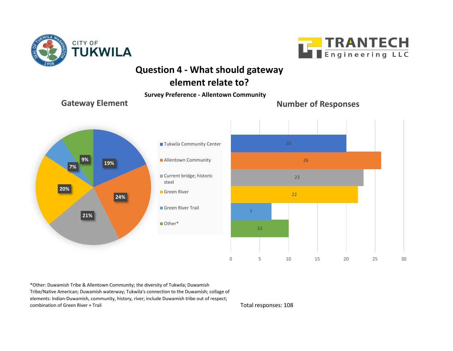



## **Question 4 - What should gateway element relate to?**

**Survey Preference - Allentown Community**

#### **Gateway Element**

#### **Number of Responses**



\*Other: Duwamish Tribe & Allentown Community; the diversity of Tukwila; Duwamish Tribe/Native American; Duwamish waterway; Tukwila's connection to the Duwamish; collage of elements: Indian-Duwamish, community, history, river; include Duwamish tribe out of respect; combination of Green River + Trail